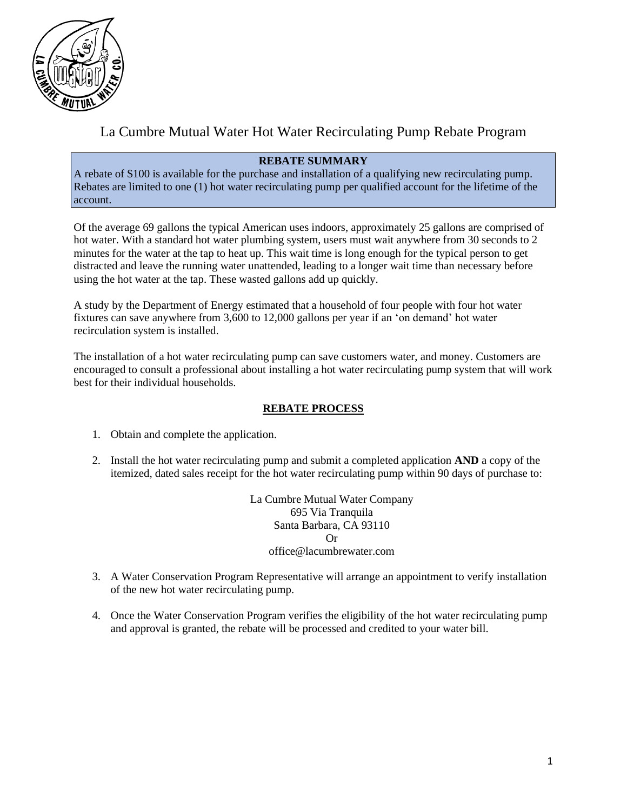

## La Cumbre Mutual Water Hot Water Recirculating Pump Rebate Program

#### **REBATE SUMMARY**

A rebate of \$100 is available for the purchase and installation of a qualifying new recirculating pump. Rebates are limited to one (1) hot water recirculating pump per qualified account for the lifetime of the account.

Of the average 69 gallons the typical American uses indoors, approximately 25 gallons are comprised of hot water. With a standard hot water plumbing system, users must wait anywhere from 30 seconds to 2 minutes for the water at the tap to heat up. This wait time is long enough for the typical person to get distracted and leave the running water unattended, leading to a longer wait time than necessary before using the hot water at the tap. These wasted gallons add up quickly.

A study by the Department of Energy estimated that a household of four people with four hot water fixtures can save anywhere from 3,600 to 12,000 gallons per year if an 'on demand' hot water recirculation system is installed.

The installation of a hot water recirculating pump can save customers water, and money. Customers are encouraged to consult a professional about installing a hot water recirculating pump system that will work best for their individual households.

#### **REBATE PROCESS**

- 1. Obtain and complete the application.
- 2. Install the hot water recirculating pump and submit a completed application **AND** a copy of the itemized, dated sales receipt for the hot water recirculating pump within 90 days of purchase to:

La Cumbre Mutual Water Company 695 Via Tranquila Santa Barbara, CA 93110 Or office@lacumbrewater.com

- 3. A Water Conservation Program Representative will arrange an appointment to verify installation of the new hot water recirculating pump.
- 4. Once the Water Conservation Program verifies the eligibility of the hot water recirculating pump and approval is granted, the rebate will be processed and credited to your water bill.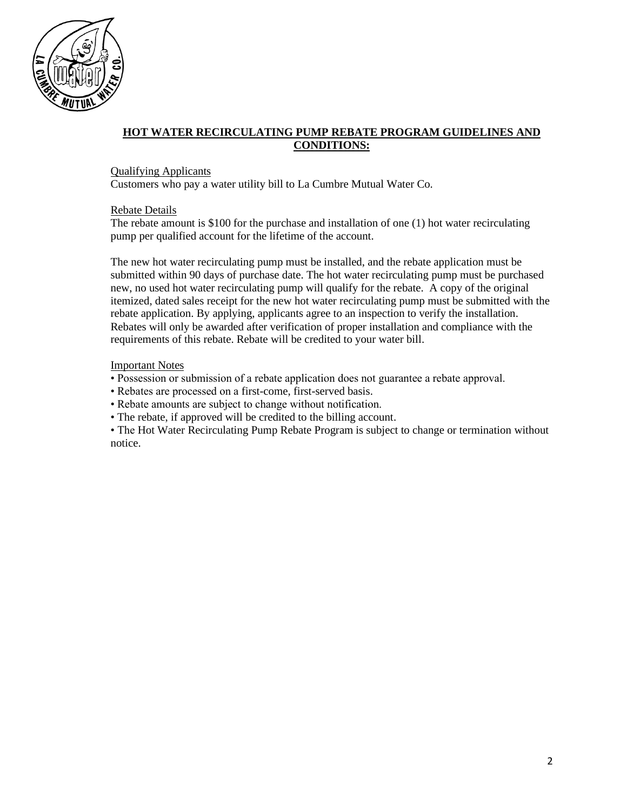

### **HOT WATER RECIRCULATING PUMP REBATE PROGRAM GUIDELINES AND CONDITIONS:**

#### Qualifying Applicants

Customers who pay a water utility bill to La Cumbre Mutual Water Co.

#### Rebate Details

The rebate amount is \$100 for the purchase and installation of one (1) hot water recirculating pump per qualified account for the lifetime of the account.

The new hot water recirculating pump must be installed, and the rebate application must be submitted within 90 days of purchase date. The hot water recirculating pump must be purchased new, no used hot water recirculating pump will qualify for the rebate. A copy of the original itemized, dated sales receipt for the new hot water recirculating pump must be submitted with the rebate application. By applying, applicants agree to an inspection to verify the installation. Rebates will only be awarded after verification of proper installation and compliance with the requirements of this rebate. Rebate will be credited to your water bill.

#### Important Notes

- Possession or submission of a rebate application does not guarantee a rebate approval.
- Rebates are processed on a first-come, first-served basis.
- Rebate amounts are subject to change without notification.
- The rebate, if approved will be credited to the billing account.

• The Hot Water Recirculating Pump Rebate Program is subject to change or termination without notice.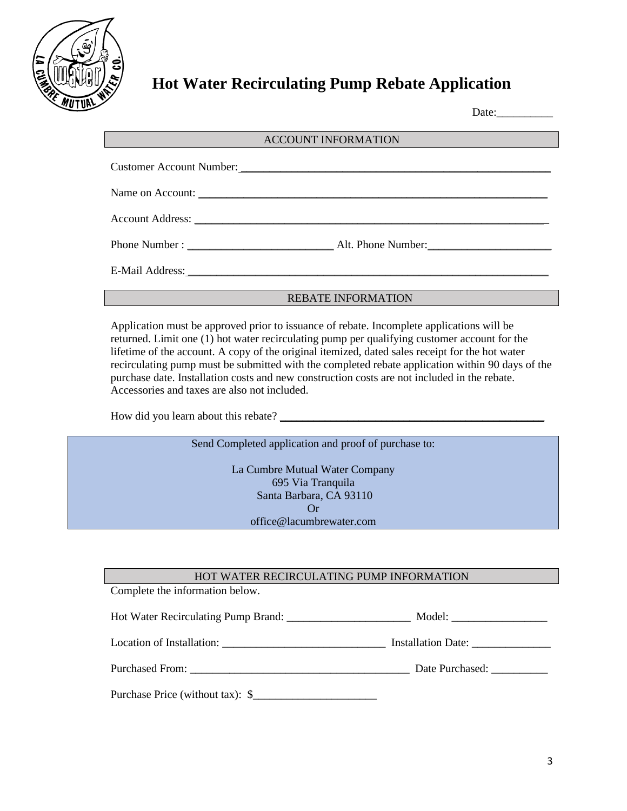

# **Hot Water Recirculating Pump Rebate Application**

Date:\_\_\_\_\_\_\_\_\_\_

| <b>ACCOUNT INFORMATION</b> |                          |  |  |  |  |
|----------------------------|--------------------------|--|--|--|--|
|                            |                          |  |  |  |  |
|                            | Customer Account Number: |  |  |  |  |
|                            |                          |  |  |  |  |
|                            |                          |  |  |  |  |
|                            |                          |  |  |  |  |
|                            |                          |  |  |  |  |
|                            |                          |  |  |  |  |

REBATE INFORMATION

Application must be approved prior to issuance of rebate. Incomplete applications will be returned. Limit one (1) hot water recirculating pump per qualifying customer account for the lifetime of the account. A copy of the original itemized, dated sales receipt for the hot water recirculating pump must be submitted with the completed rebate application within 90 days of the purchase date. Installation costs and new construction costs are not included in the rebate. Accessories and taxes are also not included.

How did you learn about this rebate?

Send Completed application and proof of purchase to:

La Cumbre Mutual Water Company 695 Via Tranquila Santa Barbara, CA 93110 Or office@lacumbrewater.com

#### HOT WATER RECIRCULATING PUMP INFORMATION

Complete the information below.

| Location of Installation: | <b>Installation Date:</b> |  |
|---------------------------|---------------------------|--|
|                           |                           |  |

| <b>Purchased From:</b> |  |
|------------------------|--|
|                        |  |

Purchased From: \_\_\_\_\_\_\_\_\_\_\_\_\_\_\_\_\_\_\_\_\_\_\_\_\_\_\_\_\_\_\_\_\_\_\_\_\_\_\_ Date Purchased: \_\_\_\_\_\_\_\_\_\_

Purchase Price (without tax):  $\$